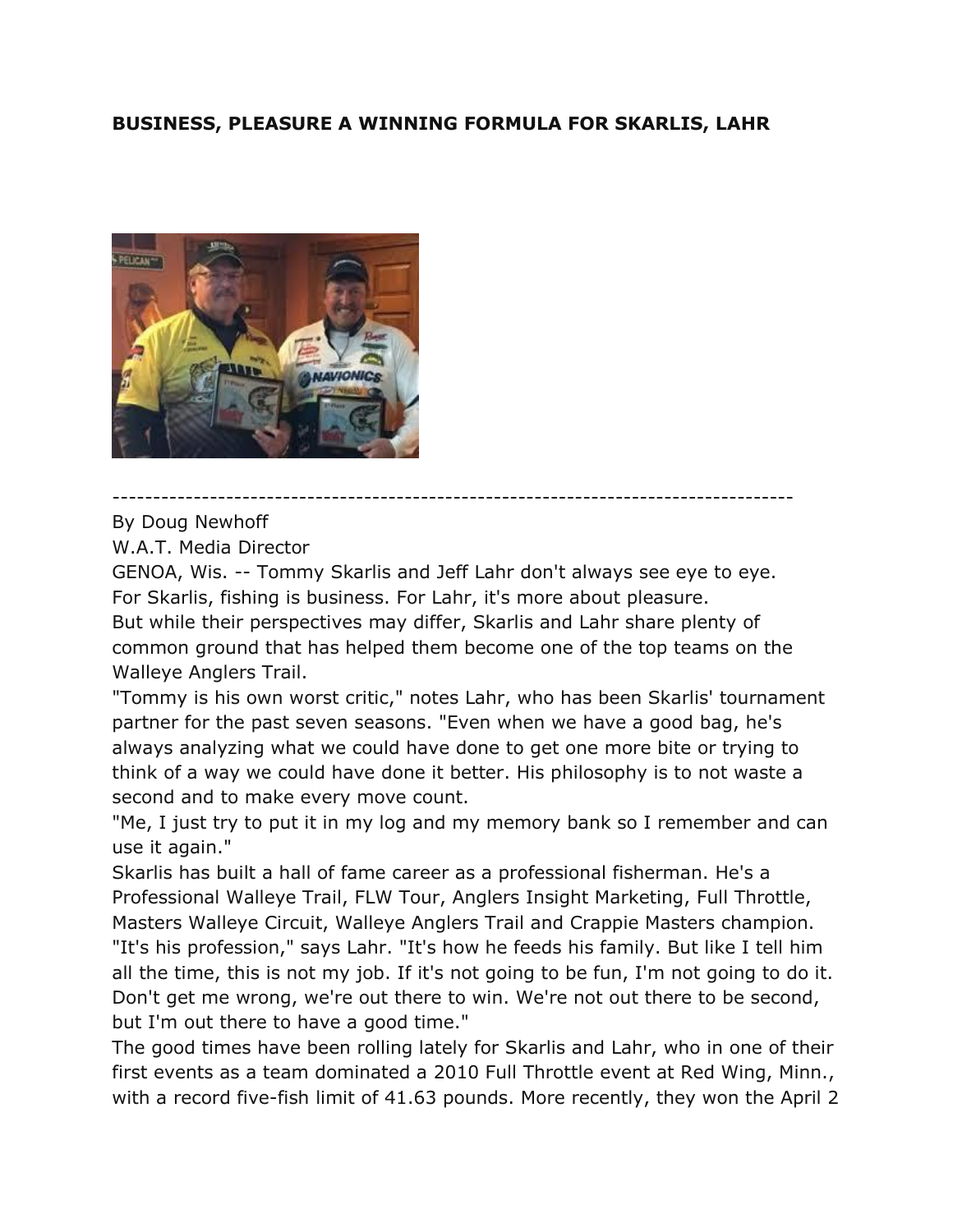## **BUSINESS, PLEASURE A WINNING FORMULA FOR SKARLIS, LAHR**



By Doug Newhoff

W.A.T. Media Director

GENOA, Wis. -- Tommy Skarlis and Jeff Lahr don't always see eye to eye. For Skarlis, fishing is business. For Lahr, it's more about pleasure. But while their perspectives may differ, Skarlis and Lahr share plenty of common ground that has helped them become one of the top teams on the Walleye Anglers Trail.

------------------------------------------------------------------------------------

"Tommy is his own worst critic," notes Lahr, who has been Skarlis' tournament partner for the past seven seasons. "Even when we have a good bag, he's always analyzing what we could have done to get one more bite or trying to think of a way we could have done it better. His philosophy is to not waste a second and to make every move count.

"Me, I just try to put it in my log and my memory bank so I remember and can use it again."

Skarlis has built a hall of fame career as a professional fisherman. He's a Professional Walleye Trail, FLW Tour, Anglers Insight Marketing, Full Throttle, Masters Walleye Circuit, Walleye Anglers Trail and Crappie Masters champion. "It's his profession," says Lahr. "It's how he feeds his family. But like I tell him all the time, this is not my job. If it's not going to be fun, I'm not going to do it. Don't get me wrong, we're out there to win. We're not out there to be second, but I'm out there to have a good time."

The good times have been rolling lately for Skarlis and Lahr, who in one of their first events as a team dominated a 2010 Full Throttle event at Red Wing, Minn., with a record five-fish limit of 41.63 pounds. More recently, they won the April 2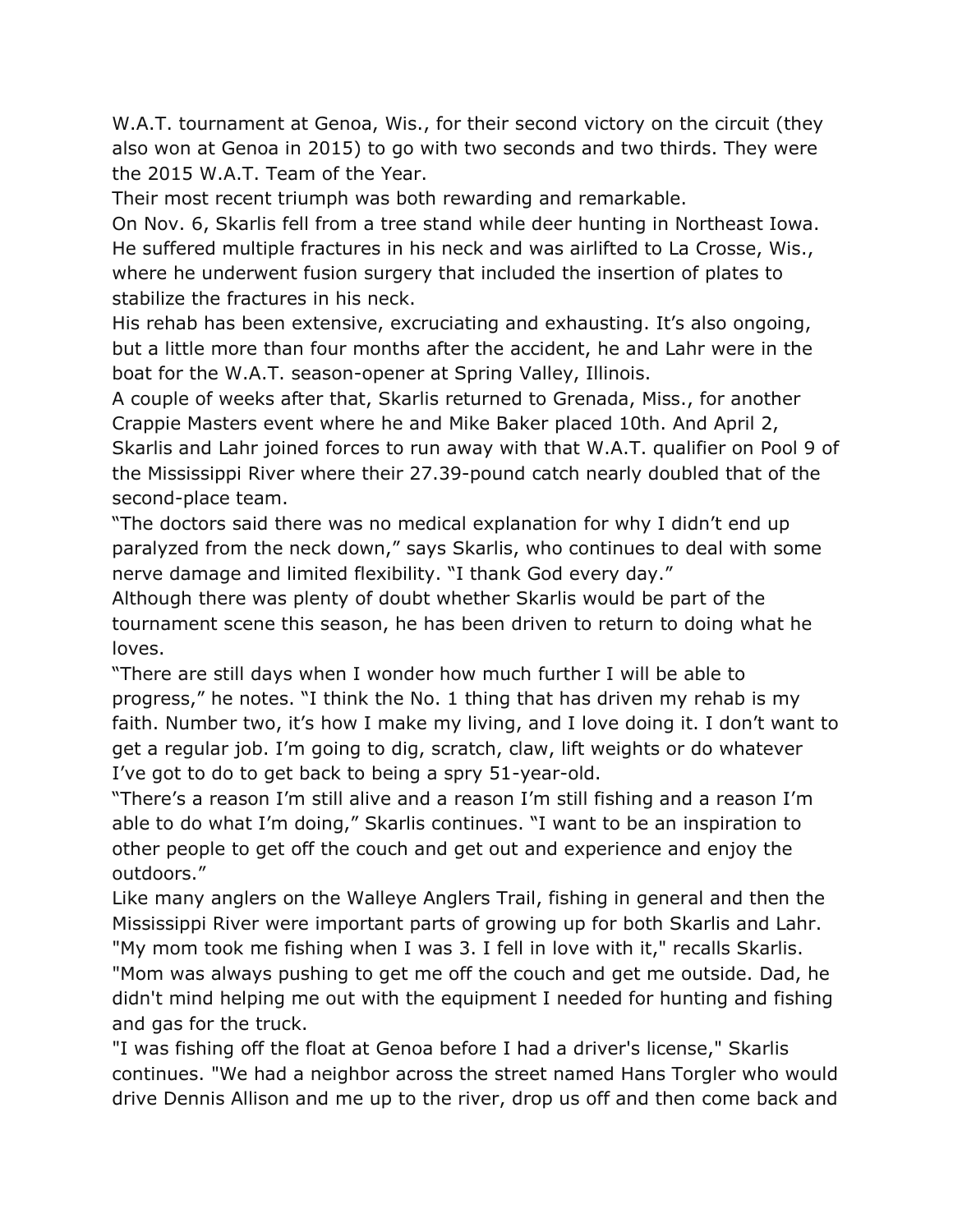W.A.T. tournament at Genoa, Wis., for their second victory on the circuit (they also won at Genoa in 2015) to go with two seconds and two thirds. They were the 2015 W.A.T. Team of the Year.

Their most recent triumph was both rewarding and remarkable.

On Nov. 6, Skarlis fell from a tree stand while deer hunting in Northeast Iowa. He suffered multiple fractures in his neck and was airlifted to La Crosse, Wis., where he underwent fusion surgery that included the insertion of plates to stabilize the fractures in his neck.

His rehab has been extensive, excruciating and exhausting. It's also ongoing, but a little more than four months after the accident, he and Lahr were in the boat for the W.A.T. season-opener at Spring Valley, Illinois.

A couple of weeks after that, Skarlis returned to Grenada, Miss., for another Crappie Masters event where he and Mike Baker placed 10th. And April 2, Skarlis and Lahr joined forces to run away with that W.A.T. qualifier on Pool 9 of the Mississippi River where their 27.39-pound catch nearly doubled that of the second-place team.

"The doctors said there was no medical explanation for why I didn't end up paralyzed from the neck down," says Skarlis, who continues to deal with some nerve damage and limited flexibility. "I thank God every day."

Although there was plenty of doubt whether Skarlis would be part of the tournament scene this season, he has been driven to return to doing what he loves.

"There are still days when I wonder how much further I will be able to progress," he notes. "I think the No. 1 thing that has driven my rehab is my faith. Number two, it's how I make my living, and I love doing it. I don't want to get a regular job. I'm going to dig, scratch, claw, lift weights or do whatever I've got to do to get back to being a spry 51-year-old.

"There's a reason I'm still alive and a reason I'm still fishing and a reason I'm able to do what I'm doing," Skarlis continues. "I want to be an inspiration to other people to get off the couch and get out and experience and enjoy the outdoors."

Like many anglers on the Walleye Anglers Trail, fishing in general and then the Mississippi River were important parts of growing up for both Skarlis and Lahr. "My mom took me fishing when I was 3. I fell in love with it," recalls Skarlis. "Mom was always pushing to get me off the couch and get me outside. Dad, he didn't mind helping me out with the equipment I needed for hunting and fishing and gas for the truck.

"I was fishing off the float at Genoa before I had a driver's license," Skarlis continues. "We had a neighbor across the street named Hans Torgler who would drive Dennis Allison and me up to the river, drop us off and then come back and